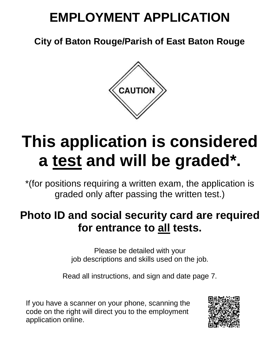# **EMPLOYMENT APPLICATION**

**City of Baton Rouge/Parish of East Baton Rouge**



# **This application is considered a test and will be graded\* .**

\*(for positions requiring a written exam, the application is graded only after passing the written test.)

# **Photo ID and social security card are required for entrance to all tests.**

Please be detailed with your job descriptions and skills used on the job.

Read all instructions, and sign and date page 7.

If you have a scanner on your phone, scanning the code on the right will direct you to the employment application online.

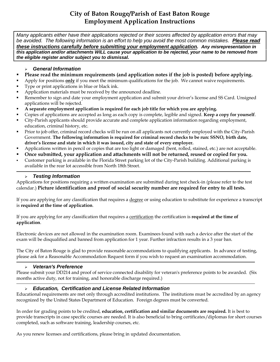## **City of Baton Rouge/Parish of East Baton Rouge Employment Application Instructions**

*Many applicants either have their applications rejected or their scores affected by application errors that may be avoided. The following information is an effort to help you avoid the most common mistakes. Please read these instructions carefully before submitting your employment application. Any misrepresentation in this application and/or attachments WILL cause your application to be rejected, your name to be removed from the eligible register and/or subject you to dismissal.*

#### *General Information*

- **Please read the minimum requirements (and application notes if the job is posted) before applying.**
- Apply for positions **only** if you meet the minimum qualifications for the job. We cannot waive requirements.
- Type or print applications in blue or black ink.
- Application materials must be received by the announced deadline.
- Remember to sign and date your employment application and submit your driver's license and SS Card. Unsigned applications will be rejected.
- **A separate employment application is required for each job title for which you are applying.**
- Copies of applications are accepted as long as each copy is complete, legible and signed. **Keep a copy for yourself**.
- City-Parish applicants should provide accurate and complete application information regarding employment, education, criminal history, etc.
- Prior to job offer, criminal record checks will be run on all applicants not currently employed with the City-Parish Government. **The following information is required for criminal record checks to be run: SSNO, birth date, driver's license and state in which it was issued, city and state of every employer.**
- Applications written in pencil or copies that are too light or damaged (bent, rolled, stained, etc.) are not acceptable.
- **Once submitted, your application and attachments will not be returned, reused or copied for you.**
- Customer parking is available in the Florida Street parking lot of the City-Parish building. Additional parking is available in the rear lot accessible from North 18th Street.

#### *Testing Information*

Applications for positions requiring a written examination are submitted during test check-in (please refer to the test calendar.) **Picture identification and proof of social security number are required for entry to all tests.**

If you are applying for any classification that requires a degree or using education to substitute for experience a transcript is **required at the time of application**.

If you are applying for any classification that requires a certification the certification is **required at the time of application**.

Electronic devices are not allowed in the examination room. Examinees found with such a device after the start of the exam will be disqualified and banned from application for 1 year. Further infraction results in a 3 year ban.

The City of Baton Rouge is glad to provide reasonable accommodations to qualifying applicants. In advance of testing, please ask for a Reasonable Accommodation Request form if you wish to request an examination accommodation.

#### *Veteran's Preference*

Please submit your DD214 and proof of service connected disability for veteran's preference points to be awarded. (Six months active duty, not for training, and honorable discharge required.)

#### *Education, Certification and License Related Information*

Educational requirements are met only through accredited institutions. The institutions must be accredited by an agency recognized by the United States Department of Education. Foreign degrees must be converted.

In order for grading points to be credited, **education, certification and similar documents are required.** It is best to provide transcripts in case specific courses are needed. It is also beneficial to bring certificates/diplomas for short courses completed, such as software training, leadership courses, etc.

As you renew licenses and certifications, please bring in updated documentation.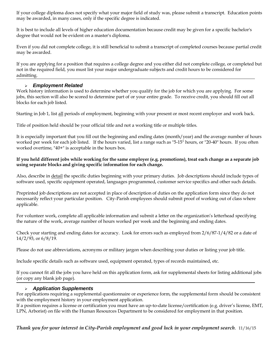If your college diploma does not specify what your major field of study was, please submit a transcript. Education points may be awarded, in many cases, only if the specific degree is indicated.

It is best to include all levels of higher education documentation because credit may be given for a specific bachelor's degree that would not be evident on a master's diploma.

Even if you did not complete college, it is still beneficial to submit a transcript of completed courses because partial credit may be awarded.

If you are applying for a position that requires a college degree and you either did not complete college, or completed but not in the required field, you must list your major undergraduate subjects and credit hours to be considered for admitting.

#### *Employment Related*

Work history information is used to determine whether you qualify for the job for which you are applying. For some jobs, this section will also be scored to determine part of or your entire grade. To receive credit, you should fill out all blocks for each job listed.

Starting in Job 1, list all periods of employment, beginning with your present or most recent employer and work back.

Title of position held should be your official title and not a working title or multiple titles.

It is especially important that you fill out the beginning and ending dates (month/year) and the average number of hours worked per week for each job listed. If the hours varied, list a range such as "5-15" hours, or "20-40" hours. If you often worked overtime, "40+" is acceptable in the hours box.

#### **If you held different jobs while working for the same employer (e.g. promotions), treat each change as a separate job using separate blocks and giving specific information for each change.**

Also, describe in *detail* the specific duties beginning with your primary duties. Job descriptions should include types of software used, specific equipment operated, languages programmed, customer service specifics and other such details.

Preprinted job descriptions are not accepted in place of description of duties on the application form since they do not necessarily reflect your particular position. City-Parish employees should submit proof of working out of class where applicable.

For volunteer work, complete all applicable information and submit a letter on the organization's letterhead specifying the nature of the work, average number of hours worked per week and the beginning and ending dates.

Check your starting and ending dates for accuracy. Look for errors such as employed from 2/6/87-1/4/82 or a date of 14/2/93, or 6/8/19.

Please do not use abbreviations, acronyms or military jargon when describing your duties or listing your job title.

Include specific details such as software used, equipment operated, types of records maintained, etc.

If you cannot fit all the jobs you have held on this application form, ask for supplemental sheets for listing additional jobs (or copy any blank job page).

#### *Application Supplements*

For applications requiring a supplemental questionnaire or experience form, the supplemental form should be consistent with the employment history in your employment application.

If a position requires a license or certification you must have an up-to-date license/certification (e.g. driver's license, EMT, LPN, Arborist) on file with the Human Resources Department to be considered for employment in that position.

*Thank you for your interest in City-Parish employment and good luck in your employment search.* 11/16/15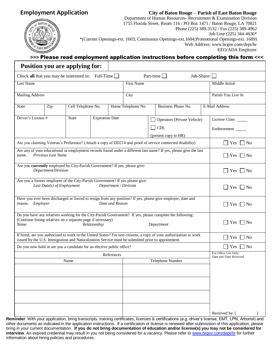### **Employment Application**

#### **City of Baton Rouge – Parish of East Baton Rouge**



Department of Human Resources- Recruitment & Examination Division 1755 Florida Street, Room 116 / PO Box 1471 / Baton Rouge, LA 70821 Phone (225) 389-3132 / Fax (225) 389-4962 Job Line (225) 344-4636\* \*(Current Openings-ext. 1603; Continuous Openings-ext.1604;Promotional Openings-ext. 1609) Web Address: www.brgov.com/dept/hr

EEO/ADA Employer

#### **>>>** Please read employment application instructions before completing this form **<<<**

|                                                                                                                                                                                                                |                                                                                                                                                | <b>Position you are applying for:</b> |  |                               |                    |  |                                                                                                                   |  |                                                |  |  |
|----------------------------------------------------------------------------------------------------------------------------------------------------------------------------------------------------------------|------------------------------------------------------------------------------------------------------------------------------------------------|---------------------------------------|--|-------------------------------|--------------------|--|-------------------------------------------------------------------------------------------------------------------|--|------------------------------------------------|--|--|
| Check all that you may be interested in: Full-Time $\square$                                                                                                                                                   |                                                                                                                                                |                                       |  |                               |                    |  | Part-time $\Box$<br>Job-Share: $\Box$                                                                             |  |                                                |  |  |
| Last Name                                                                                                                                                                                                      |                                                                                                                                                |                                       |  |                               | <b>First Name</b>  |  |                                                                                                                   |  | Middle Initial                                 |  |  |
| <b>Mailing Address</b>                                                                                                                                                                                         |                                                                                                                                                |                                       |  |                               | City               |  |                                                                                                                   |  | Parish You Live In                             |  |  |
| Cell Telephone No.<br><b>State</b><br>Zip                                                                                                                                                                      |                                                                                                                                                |                                       |  |                               | Home Telephone No. |  | Business Phone No.                                                                                                |  | E-Mail Address                                 |  |  |
| Driver's License#<br><b>State</b><br><b>Expiration Date</b>                                                                                                                                                    |                                                                                                                                                |                                       |  |                               |                    |  | Operators (Private Vehicle)<br><b>CDL</b><br>(present copy to HR)                                                 |  | License Class<br>Endorsement                   |  |  |
|                                                                                                                                                                                                                | Are you claiming Veteran's Preference? (Attach a copy of DD214 and proof of service connected disability)                                      |                                       |  |                               |                    |  |                                                                                                                   |  |                                                |  |  |
| name.                                                                                                                                                                                                          | Are any of your educational or employment records found under a different last name? If yes, please give the last<br><b>Previous Last Name</b> |                                       |  |                               |                    |  |                                                                                                                   |  |                                                |  |  |
| Are you currently employed by City-Parish Government? If yes, please give:                                                                                                                                     | Department/Division                                                                                                                            |                                       |  |                               |                    |  |                                                                                                                   |  | $\blacksquare$ Yes<br>  No                     |  |  |
| Are you a former employee of the City-Parish Government? If yes please give:<br>Last Date(s) of Employment<br>Department / Division                                                                            |                                                                                                                                                |                                       |  |                               |                    |  |                                                                                                                   |  | $\Box$ Yes $\Box$ No                           |  |  |
| reason. Employer                                                                                                                                                                                               |                                                                                                                                                |                                       |  | Date and Reason               |                    |  | Have you ever been discharged or forced to resign from any position? If yes, please give employer, date and       |  | Yes<br>$\overline{\phantom{a}}$ No             |  |  |
| Do you have any relatives working for the City-Parish Government? If yes, please complete the following:<br>(Continue listing relatives on a separate page if necessary)<br>Name<br>Relationship<br>Department |                                                                                                                                                |                                       |  |                               |                    |  |                                                                                                                   |  | Yes<br>$\overline{\phantom{a}}$ No             |  |  |
| issued by the U.S. Immigration and Naturalization Service must be submitted prior to appointment.                                                                                                              |                                                                                                                                                |                                       |  |                               |                    |  | If hired, are you authorized to work in the United States? For non citizens, a copy of your authorization to work |  | Yes<br>$\overline{\phantom{a}}$ No             |  |  |
| Do you now hold or are you a candidate for an elective public office?                                                                                                                                          |                                                                                                                                                |                                       |  |                               |                    |  |                                                                                                                   |  | ∐ No<br><b>Yes</b>                             |  |  |
|                                                                                                                                                                                                                |                                                                                                                                                |                                       |  | References                    |                    |  |                                                                                                                   |  | For Office Use Only:<br>Date and Time Received |  |  |
| Name<br>Telephone Number                                                                                                                                                                                       |                                                                                                                                                |                                       |  |                               |                    |  |                                                                                                                   |  |                                                |  |  |
|                                                                                                                                                                                                                |                                                                                                                                                |                                       |  |                               |                    |  |                                                                                                                   |  |                                                |  |  |
|                                                                                                                                                                                                                |                                                                                                                                                |                                       |  | Analisia se a sulfilia a Lais |                    |  | 2. contifications (a.g. driver's ligance                                                                          |  | Received by:                                   |  |  |

other documents as indicated in the application instructions. If a certification or license is renewed after submission of this application, please **Reminder**: With your application, bring transcripts, training certificates, licenses & certifications (e.g. driver's license, EMT, LPN, Arborist) and bring in your current documentation. **If you do not bring documentation of education and/or license(s) you may not be considered for interview**. An expired credential may result in you not being considered for a vacancy. Please refer t[o www.brgov.com/dept/hr](http://www.brgov.com/dept/hr) for further information about hiring policies and procedures.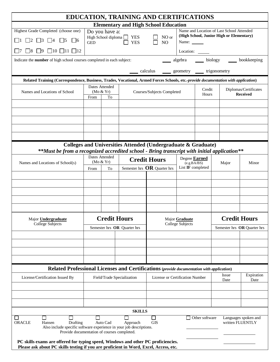|                                                                                                                                                                            |                             |                     |                                                   | EDUCATION, TRAINING AND CERTIFICATIONS                        |                                  |                |                                                                                       |                                          |  |
|----------------------------------------------------------------------------------------------------------------------------------------------------------------------------|-----------------------------|---------------------|---------------------------------------------------|---------------------------------------------------------------|----------------------------------|----------------|---------------------------------------------------------------------------------------|------------------------------------------|--|
|                                                                                                                                                                            |                             |                     |                                                   | <b>Elementary and High School Education</b>                   |                                  |                |                                                                                       |                                          |  |
| Highest Grade Completed (choose one)                                                                                                                                       |                             | Do you have a:      |                                                   |                                                               |                                  |                | Name and Location of Last School Attended<br>(High School, Junior High or Elementary) |                                          |  |
| $\Box 5$ $\Box 6$<br>$\Box$ 3                                                                                                                                              | <b>GED</b>                  |                     | High School diploma $\Box$ YES<br>П<br><b>YES</b> | NO or<br>N <sub>O</sub>                                       | Name: $\_\_$                     |                |                                                                                       |                                          |  |
| $\Box$ 10 $\Box$ 11 $\Box$ 12<br>$\Box$ 9                                                                                                                                  |                             |                     |                                                   |                                                               | Location:                        |                |                                                                                       |                                          |  |
| Indicate the number of high school courses completed in each subject:                                                                                                      |                             |                     |                                                   |                                                               |                                  |                | algebra _____ biology ______ bookkeeping                                              |                                          |  |
|                                                                                                                                                                            |                             |                     |                                                   | calculus _____ geometry _____ trigonometry                    |                                  |                |                                                                                       |                                          |  |
| Related Training (Correspondence, Business, Trades, Vocational, Armed Forces Schools, etc.-provide documentation with application)                                         |                             |                     |                                                   |                                                               |                                  |                |                                                                                       |                                          |  |
| Names and Locations of School                                                                                                                                              | Dates Attended<br>(Mo & Yr) |                     |                                                   | Courses/Subjects Completed                                    |                                  | Credit         |                                                                                       | Diplomas/Certificates                    |  |
|                                                                                                                                                                            | From<br>To                  |                     |                                                   |                                                               |                                  | Hours          |                                                                                       | <b>Received</b>                          |  |
|                                                                                                                                                                            |                             |                     |                                                   |                                                               |                                  |                |                                                                                       |                                          |  |
|                                                                                                                                                                            |                             |                     |                                                   |                                                               |                                  |                |                                                                                       |                                          |  |
|                                                                                                                                                                            |                             |                     |                                                   |                                                               |                                  |                |                                                                                       |                                          |  |
|                                                                                                                                                                            |                             |                     |                                                   |                                                               |                                  |                |                                                                                       |                                          |  |
|                                                                                                                                                                            |                             |                     |                                                   |                                                               |                                  |                |                                                                                       |                                          |  |
| **Must be from a recognized accredited school - Bring transcript with initial application**                                                                                |                             |                     |                                                   | Colleges and Universities Attended (Undergraduate & Graduate) |                                  |                |                                                                                       |                                          |  |
|                                                                                                                                                                            |                             | Dates Attended      |                                                   | <b>Credit Hours</b>                                           | Degree <b>Earned</b>             |                |                                                                                       |                                          |  |
| Names and Locations of School(s)                                                                                                                                           |                             | (Mo & Yr)           | Semester hrs $OR$ Quarter hrs                     |                                                               | (e.g.BA/BS)<br>List IF completed |                | Major                                                                                 | Minor                                    |  |
|                                                                                                                                                                            |                             | To<br>From          |                                                   |                                                               |                                  |                |                                                                                       |                                          |  |
|                                                                                                                                                                            |                             |                     |                                                   |                                                               |                                  |                |                                                                                       |                                          |  |
|                                                                                                                                                                            |                             |                     |                                                   |                                                               |                                  |                |                                                                                       |                                          |  |
|                                                                                                                                                                            |                             |                     |                                                   |                                                               |                                  |                |                                                                                       |                                          |  |
|                                                                                                                                                                            |                             |                     |                                                   |                                                               |                                  |                |                                                                                       |                                          |  |
| Major <b>Undergraduate</b>                                                                                                                                                 |                             | <b>Credit Hours</b> |                                                   |                                                               | Major Graduate                   |                |                                                                                       | <b>Credit Hours</b>                      |  |
| College Subjects                                                                                                                                                           |                             |                     | Semester hrs OR Quarter hrs                       | College Subjects                                              |                                  |                |                                                                                       | Semester hrs OR Quarter hrs              |  |
|                                                                                                                                                                            |                             |                     |                                                   |                                                               |                                  |                |                                                                                       |                                          |  |
|                                                                                                                                                                            |                             |                     |                                                   |                                                               |                                  |                |                                                                                       |                                          |  |
|                                                                                                                                                                            |                             |                     |                                                   |                                                               |                                  |                |                                                                                       |                                          |  |
|                                                                                                                                                                            |                             |                     |                                                   |                                                               |                                  |                |                                                                                       |                                          |  |
| Related Professional Licenses and Certifications (provide documentation with application)                                                                                  |                             |                     |                                                   |                                                               |                                  |                |                                                                                       |                                          |  |
| License/Certification Issued By                                                                                                                                            |                             |                     | Field/Trade Specialization                        | License or Certification Number                               |                                  |                | <b>Issue</b><br>Date                                                                  | Expiration<br>Date                       |  |
|                                                                                                                                                                            |                             |                     |                                                   |                                                               |                                  |                |                                                                                       |                                          |  |
|                                                                                                                                                                            |                             |                     |                                                   |                                                               |                                  |                |                                                                                       |                                          |  |
|                                                                                                                                                                            |                             |                     |                                                   |                                                               |                                  |                |                                                                                       |                                          |  |
|                                                                                                                                                                            |                             |                     | <b>SKILLS</b>                                     |                                                               |                                  |                |                                                                                       |                                          |  |
| ORACLE<br>Drafting<br>Hansen<br>Also include specific software experience in your job descriptions.<br>Provide documentation of courses completed.                         |                             | Auto Cad            | Approach                                          | <b>GIS</b>                                                    |                                  | Other software |                                                                                       | Languages spoken and<br>written FLUENTLY |  |
| PC skills exams are offered for typing speed, Windows and other PC proficiencies.<br>Please ask about PC skills testing if you are proficient in Word, Excel, Access, etc. |                             |                     |                                                   |                                                               |                                  |                |                                                                                       |                                          |  |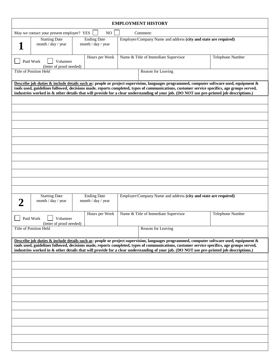| <b>EMPLOYMENT HISTORY</b>                                                                                                                                                                                                                                                                                                                                                                                                          |                                          |                                                                                                                                                                                                                                                                                                                                                                                                                                    |                  |  |  |  |  |  |  |
|------------------------------------------------------------------------------------------------------------------------------------------------------------------------------------------------------------------------------------------------------------------------------------------------------------------------------------------------------------------------------------------------------------------------------------|------------------------------------------|------------------------------------------------------------------------------------------------------------------------------------------------------------------------------------------------------------------------------------------------------------------------------------------------------------------------------------------------------------------------------------------------------------------------------------|------------------|--|--|--|--|--|--|
| May we contact your present employer? YES                                                                                                                                                                                                                                                                                                                                                                                          | NO                                       | Comment:                                                                                                                                                                                                                                                                                                                                                                                                                           |                  |  |  |  |  |  |  |
| <b>Starting Date</b><br>month / day / year                                                                                                                                                                                                                                                                                                                                                                                         | <b>Ending Date</b><br>month / day / year | Employer/Company Name and address (city and state are required)                                                                                                                                                                                                                                                                                                                                                                    |                  |  |  |  |  |  |  |
| Paid Work<br>Volunteer<br>(letter of proof needed)                                                                                                                                                                                                                                                                                                                                                                                 | Hours per Week                           | Name & Title of Immediate Supervisor                                                                                                                                                                                                                                                                                                                                                                                               | Telephone Number |  |  |  |  |  |  |
| Title of Position Held                                                                                                                                                                                                                                                                                                                                                                                                             |                                          | Reason for Leaving                                                                                                                                                                                                                                                                                                                                                                                                                 |                  |  |  |  |  |  |  |
| Describe job duties & include details such as: people or project supervision, languages programmed, computer software used, equipment &<br>tools used, guidelines followed, decisions made, reports completed, types of communications, customer service specifics, age groups served,<br>industries worked in & other details that will provide for a clear understanding of your job. (DO NOT use pre-printed job descriptions.) |                                          |                                                                                                                                                                                                                                                                                                                                                                                                                                    |                  |  |  |  |  |  |  |
|                                                                                                                                                                                                                                                                                                                                                                                                                                    |                                          |                                                                                                                                                                                                                                                                                                                                                                                                                                    |                  |  |  |  |  |  |  |
|                                                                                                                                                                                                                                                                                                                                                                                                                                    |                                          |                                                                                                                                                                                                                                                                                                                                                                                                                                    |                  |  |  |  |  |  |  |
|                                                                                                                                                                                                                                                                                                                                                                                                                                    |                                          |                                                                                                                                                                                                                                                                                                                                                                                                                                    |                  |  |  |  |  |  |  |
|                                                                                                                                                                                                                                                                                                                                                                                                                                    |                                          |                                                                                                                                                                                                                                                                                                                                                                                                                                    |                  |  |  |  |  |  |  |
|                                                                                                                                                                                                                                                                                                                                                                                                                                    |                                          |                                                                                                                                                                                                                                                                                                                                                                                                                                    |                  |  |  |  |  |  |  |
|                                                                                                                                                                                                                                                                                                                                                                                                                                    |                                          |                                                                                                                                                                                                                                                                                                                                                                                                                                    |                  |  |  |  |  |  |  |
|                                                                                                                                                                                                                                                                                                                                                                                                                                    |                                          |                                                                                                                                                                                                                                                                                                                                                                                                                                    |                  |  |  |  |  |  |  |
|                                                                                                                                                                                                                                                                                                                                                                                                                                    |                                          |                                                                                                                                                                                                                                                                                                                                                                                                                                    |                  |  |  |  |  |  |  |
|                                                                                                                                                                                                                                                                                                                                                                                                                                    |                                          |                                                                                                                                                                                                                                                                                                                                                                                                                                    |                  |  |  |  |  |  |  |
|                                                                                                                                                                                                                                                                                                                                                                                                                                    |                                          |                                                                                                                                                                                                                                                                                                                                                                                                                                    |                  |  |  |  |  |  |  |
|                                                                                                                                                                                                                                                                                                                                                                                                                                    |                                          |                                                                                                                                                                                                                                                                                                                                                                                                                                    |                  |  |  |  |  |  |  |
| <b>Starting Date</b><br>month / day / year                                                                                                                                                                                                                                                                                                                                                                                         | <b>Ending Date</b><br>month / day / year | Employer/Company Name and address (city and state are required)                                                                                                                                                                                                                                                                                                                                                                    |                  |  |  |  |  |  |  |
| Paid Work<br>Volunteer<br>(letter of proof needed)                                                                                                                                                                                                                                                                                                                                                                                 | Hours per Week                           | Name & Title of Immediate Supervisor                                                                                                                                                                                                                                                                                                                                                                                               | Telephone Number |  |  |  |  |  |  |
| Title of Position Held                                                                                                                                                                                                                                                                                                                                                                                                             |                                          | Reason for Leaving                                                                                                                                                                                                                                                                                                                                                                                                                 |                  |  |  |  |  |  |  |
|                                                                                                                                                                                                                                                                                                                                                                                                                                    |                                          | Describe job duties & include details such as: people or project supervision, languages programmed, computer software used, equipment &<br>tools used, guidelines followed, decisions made, reports completed, types of communications, customer service specifics, age groups served,<br>industries worked in & other details that will provide for a clear understanding of your job. (DO NOT use pre-printed job descriptions.) |                  |  |  |  |  |  |  |
|                                                                                                                                                                                                                                                                                                                                                                                                                                    |                                          |                                                                                                                                                                                                                                                                                                                                                                                                                                    |                  |  |  |  |  |  |  |
|                                                                                                                                                                                                                                                                                                                                                                                                                                    |                                          |                                                                                                                                                                                                                                                                                                                                                                                                                                    |                  |  |  |  |  |  |  |
|                                                                                                                                                                                                                                                                                                                                                                                                                                    |                                          |                                                                                                                                                                                                                                                                                                                                                                                                                                    |                  |  |  |  |  |  |  |
|                                                                                                                                                                                                                                                                                                                                                                                                                                    |                                          |                                                                                                                                                                                                                                                                                                                                                                                                                                    |                  |  |  |  |  |  |  |
|                                                                                                                                                                                                                                                                                                                                                                                                                                    |                                          |                                                                                                                                                                                                                                                                                                                                                                                                                                    |                  |  |  |  |  |  |  |
|                                                                                                                                                                                                                                                                                                                                                                                                                                    |                                          |                                                                                                                                                                                                                                                                                                                                                                                                                                    |                  |  |  |  |  |  |  |
|                                                                                                                                                                                                                                                                                                                                                                                                                                    |                                          |                                                                                                                                                                                                                                                                                                                                                                                                                                    |                  |  |  |  |  |  |  |
|                                                                                                                                                                                                                                                                                                                                                                                                                                    |                                          |                                                                                                                                                                                                                                                                                                                                                                                                                                    |                  |  |  |  |  |  |  |
|                                                                                                                                                                                                                                                                                                                                                                                                                                    |                                          |                                                                                                                                                                                                                                                                                                                                                                                                                                    |                  |  |  |  |  |  |  |
|                                                                                                                                                                                                                                                                                                                                                                                                                                    |                                          |                                                                                                                                                                                                                                                                                                                                                                                                                                    |                  |  |  |  |  |  |  |
|                                                                                                                                                                                                                                                                                                                                                                                                                                    |                                          |                                                                                                                                                                                                                                                                                                                                                                                                                                    |                  |  |  |  |  |  |  |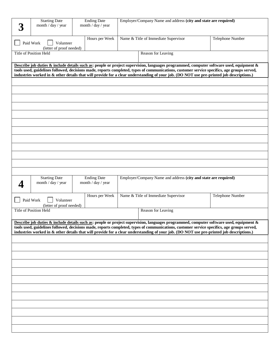| Employer/Company Name and address (city and state are required)<br><b>Starting Date</b><br><b>Ending Date</b><br>month / day / year<br>month / day / year |                                          |                                                                                                                                                                                                                                                                                                                                                                                                                                    |                  |  |  |  |  |
|-----------------------------------------------------------------------------------------------------------------------------------------------------------|------------------------------------------|------------------------------------------------------------------------------------------------------------------------------------------------------------------------------------------------------------------------------------------------------------------------------------------------------------------------------------------------------------------------------------------------------------------------------------|------------------|--|--|--|--|
|                                                                                                                                                           |                                          |                                                                                                                                                                                                                                                                                                                                                                                                                                    |                  |  |  |  |  |
| Paid Work<br>Volunteer                                                                                                                                    | Hours per Week                           | Name & Title of Immediate Supervisor                                                                                                                                                                                                                                                                                                                                                                                               | Telephone Number |  |  |  |  |
| (letter of proof needed)<br><b>Title of Position Held</b>                                                                                                 |                                          | Reason for Leaving                                                                                                                                                                                                                                                                                                                                                                                                                 |                  |  |  |  |  |
|                                                                                                                                                           |                                          |                                                                                                                                                                                                                                                                                                                                                                                                                                    |                  |  |  |  |  |
|                                                                                                                                                           |                                          | Describe job duties & include details such as: people or project supervision, languages programmed, computer software used, equipment &                                                                                                                                                                                                                                                                                            |                  |  |  |  |  |
|                                                                                                                                                           |                                          | tools used, guidelines followed, decisions made, reports completed, types of communications, customer service specifics, age groups served,<br>industries worked in & other details that will provide for a clear understanding of your job. (DO NOT use pre-printed job descriptions.)                                                                                                                                            |                  |  |  |  |  |
|                                                                                                                                                           |                                          |                                                                                                                                                                                                                                                                                                                                                                                                                                    |                  |  |  |  |  |
|                                                                                                                                                           |                                          |                                                                                                                                                                                                                                                                                                                                                                                                                                    |                  |  |  |  |  |
|                                                                                                                                                           |                                          |                                                                                                                                                                                                                                                                                                                                                                                                                                    |                  |  |  |  |  |
|                                                                                                                                                           |                                          |                                                                                                                                                                                                                                                                                                                                                                                                                                    |                  |  |  |  |  |
|                                                                                                                                                           |                                          |                                                                                                                                                                                                                                                                                                                                                                                                                                    |                  |  |  |  |  |
|                                                                                                                                                           |                                          |                                                                                                                                                                                                                                                                                                                                                                                                                                    |                  |  |  |  |  |
|                                                                                                                                                           |                                          |                                                                                                                                                                                                                                                                                                                                                                                                                                    |                  |  |  |  |  |
|                                                                                                                                                           |                                          |                                                                                                                                                                                                                                                                                                                                                                                                                                    |                  |  |  |  |  |
|                                                                                                                                                           |                                          |                                                                                                                                                                                                                                                                                                                                                                                                                                    |                  |  |  |  |  |
|                                                                                                                                                           |                                          |                                                                                                                                                                                                                                                                                                                                                                                                                                    |                  |  |  |  |  |
|                                                                                                                                                           |                                          |                                                                                                                                                                                                                                                                                                                                                                                                                                    |                  |  |  |  |  |
|                                                                                                                                                           |                                          |                                                                                                                                                                                                                                                                                                                                                                                                                                    |                  |  |  |  |  |
| <b>Starting Date</b><br>month / day / year                                                                                                                | <b>Ending Date</b><br>month / day / year | Employer/Company Name and address (city and state are required)                                                                                                                                                                                                                                                                                                                                                                    |                  |  |  |  |  |
| Paid Work<br>Volunteer<br>(letter of proof needed)                                                                                                        | Hours per Week                           | Name & Title of Immediate Supervisor                                                                                                                                                                                                                                                                                                                                                                                               | Telephone Number |  |  |  |  |
| Title of Position Held                                                                                                                                    |                                          | Reason for Leaving                                                                                                                                                                                                                                                                                                                                                                                                                 |                  |  |  |  |  |
|                                                                                                                                                           |                                          |                                                                                                                                                                                                                                                                                                                                                                                                                                    |                  |  |  |  |  |
|                                                                                                                                                           |                                          | Describe job duties & include details such as: people or project supervision, languages programmed, computer software used, equipment &<br>tools used, guidelines followed, decisions made, reports completed, types of communications, customer service specifics, age groups served,<br>industries worked in & other details that will provide for a clear understanding of your job. (DO NOT use pre-printed job descriptions.) |                  |  |  |  |  |
|                                                                                                                                                           |                                          |                                                                                                                                                                                                                                                                                                                                                                                                                                    |                  |  |  |  |  |
|                                                                                                                                                           |                                          |                                                                                                                                                                                                                                                                                                                                                                                                                                    |                  |  |  |  |  |
|                                                                                                                                                           |                                          |                                                                                                                                                                                                                                                                                                                                                                                                                                    |                  |  |  |  |  |
|                                                                                                                                                           |                                          |                                                                                                                                                                                                                                                                                                                                                                                                                                    |                  |  |  |  |  |
|                                                                                                                                                           |                                          |                                                                                                                                                                                                                                                                                                                                                                                                                                    |                  |  |  |  |  |
|                                                                                                                                                           |                                          |                                                                                                                                                                                                                                                                                                                                                                                                                                    |                  |  |  |  |  |
|                                                                                                                                                           |                                          |                                                                                                                                                                                                                                                                                                                                                                                                                                    |                  |  |  |  |  |
|                                                                                                                                                           |                                          |                                                                                                                                                                                                                                                                                                                                                                                                                                    |                  |  |  |  |  |
|                                                                                                                                                           |                                          |                                                                                                                                                                                                                                                                                                                                                                                                                                    |                  |  |  |  |  |
|                                                                                                                                                           |                                          |                                                                                                                                                                                                                                                                                                                                                                                                                                    |                  |  |  |  |  |
|                                                                                                                                                           |                                          |                                                                                                                                                                                                                                                                                                                                                                                                                                    |                  |  |  |  |  |
|                                                                                                                                                           |                                          |                                                                                                                                                                                                                                                                                                                                                                                                                                    |                  |  |  |  |  |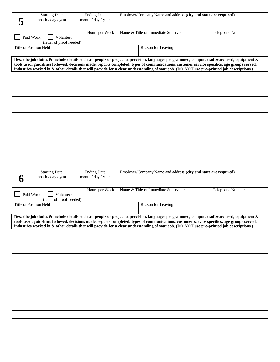|                       | <b>Starting Date</b>                                      | <b>Ending Date</b><br>month / day / year |  | Employer/Company Name and address (city and state are required)                                                                                                                                                                                                                         |                         |  |  |  |
|-----------------------|-----------------------------------------------------------|------------------------------------------|--|-----------------------------------------------------------------------------------------------------------------------------------------------------------------------------------------------------------------------------------------------------------------------------------------|-------------------------|--|--|--|
|                       | month / day / year                                        |                                          |  |                                                                                                                                                                                                                                                                                         |                         |  |  |  |
|                       | Paid Work<br>Volunteer                                    | Hours per Week                           |  | Name & Title of Immediate Supervisor                                                                                                                                                                                                                                                    | <b>Telephone Number</b> |  |  |  |
|                       | (letter of proof needed)<br><b>Title of Position Held</b> |                                          |  | Reason for Leaving                                                                                                                                                                                                                                                                      |                         |  |  |  |
|                       |                                                           |                                          |  |                                                                                                                                                                                                                                                                                         |                         |  |  |  |
|                       |                                                           |                                          |  | Describe job duties & include details such as: people or project supervision, languages programmed, computer software used, equipment &                                                                                                                                                 |                         |  |  |  |
|                       |                                                           |                                          |  | tools used, guidelines followed, decisions made, reports completed, types of communications, customer service specifics, age groups served,<br>industries worked in & other details that will provide for a clear understanding of your job. (DO NOT use pre-printed job descriptions.) |                         |  |  |  |
|                       |                                                           |                                          |  |                                                                                                                                                                                                                                                                                         |                         |  |  |  |
|                       |                                                           |                                          |  |                                                                                                                                                                                                                                                                                         |                         |  |  |  |
|                       |                                                           |                                          |  |                                                                                                                                                                                                                                                                                         |                         |  |  |  |
|                       |                                                           |                                          |  |                                                                                                                                                                                                                                                                                         |                         |  |  |  |
|                       |                                                           |                                          |  |                                                                                                                                                                                                                                                                                         |                         |  |  |  |
|                       |                                                           |                                          |  |                                                                                                                                                                                                                                                                                         |                         |  |  |  |
|                       |                                                           |                                          |  |                                                                                                                                                                                                                                                                                         |                         |  |  |  |
|                       |                                                           |                                          |  |                                                                                                                                                                                                                                                                                         |                         |  |  |  |
|                       |                                                           |                                          |  |                                                                                                                                                                                                                                                                                         |                         |  |  |  |
|                       |                                                           |                                          |  |                                                                                                                                                                                                                                                                                         |                         |  |  |  |
|                       |                                                           |                                          |  |                                                                                                                                                                                                                                                                                         |                         |  |  |  |
|                       |                                                           |                                          |  |                                                                                                                                                                                                                                                                                         |                         |  |  |  |
|                       |                                                           |                                          |  |                                                                                                                                                                                                                                                                                         |                         |  |  |  |
|                       |                                                           |                                          |  |                                                                                                                                                                                                                                                                                         |                         |  |  |  |
|                       | <b>Starting Date</b>                                      | <b>Ending Date</b>                       |  | Employer/Company Name and address (city and state are required)                                                                                                                                                                                                                         |                         |  |  |  |
| $\boldsymbol{\theta}$ | month / day / year                                        | month / day / year                       |  |                                                                                                                                                                                                                                                                                         |                         |  |  |  |
|                       |                                                           | Hours per Week                           |  | Name & Title of Immediate Supervisor                                                                                                                                                                                                                                                    | <b>Telephone Number</b> |  |  |  |
|                       | Paid Work<br>Volunteer                                    |                                          |  |                                                                                                                                                                                                                                                                                         |                         |  |  |  |
|                       | (letter of proof needed)<br>Title of Position Held        |                                          |  | Reason for Leaving                                                                                                                                                                                                                                                                      |                         |  |  |  |
|                       |                                                           |                                          |  |                                                                                                                                                                                                                                                                                         |                         |  |  |  |
|                       |                                                           |                                          |  | Describe job duties & include details such as: people or project supervision, languages programmed, computer software used, equipment &                                                                                                                                                 |                         |  |  |  |
|                       |                                                           |                                          |  | tools used, guidelines followed, decisions made, reports completed, types of communications, customer service specifics, age groups served,<br>industries worked in & other details that will provide for a clear understanding of your job. (DO NOT use pre-printed job descriptions.) |                         |  |  |  |
|                       |                                                           |                                          |  |                                                                                                                                                                                                                                                                                         |                         |  |  |  |
|                       |                                                           |                                          |  |                                                                                                                                                                                                                                                                                         |                         |  |  |  |
|                       |                                                           |                                          |  |                                                                                                                                                                                                                                                                                         |                         |  |  |  |
|                       |                                                           |                                          |  |                                                                                                                                                                                                                                                                                         |                         |  |  |  |
|                       |                                                           |                                          |  |                                                                                                                                                                                                                                                                                         |                         |  |  |  |
|                       |                                                           |                                          |  |                                                                                                                                                                                                                                                                                         |                         |  |  |  |
|                       |                                                           |                                          |  |                                                                                                                                                                                                                                                                                         |                         |  |  |  |
|                       |                                                           |                                          |  |                                                                                                                                                                                                                                                                                         |                         |  |  |  |
|                       |                                                           |                                          |  |                                                                                                                                                                                                                                                                                         |                         |  |  |  |
|                       |                                                           |                                          |  |                                                                                                                                                                                                                                                                                         |                         |  |  |  |
|                       |                                                           |                                          |  |                                                                                                                                                                                                                                                                                         |                         |  |  |  |
|                       |                                                           |                                          |  |                                                                                                                                                                                                                                                                                         |                         |  |  |  |
|                       |                                                           |                                          |  |                                                                                                                                                                                                                                                                                         |                         |  |  |  |
|                       |                                                           |                                          |  |                                                                                                                                                                                                                                                                                         |                         |  |  |  |
|                       |                                                           |                                          |  |                                                                                                                                                                                                                                                                                         |                         |  |  |  |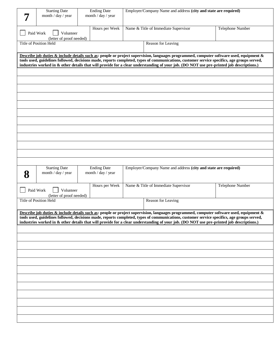|   | <b>Starting Date</b><br>month / day / year         | <b>Ending Date</b><br>month / day / year | Employer/Company Name and address (city and state are required) |                                                                                                                                                                                                                                                                                         |                  |  |  |  |
|---|----------------------------------------------------|------------------------------------------|-----------------------------------------------------------------|-----------------------------------------------------------------------------------------------------------------------------------------------------------------------------------------------------------------------------------------------------------------------------------------|------------------|--|--|--|
|   | Paid Work<br>Volunteer<br>(letter of proof needed) | Hours per Week                           | Name & Title of Immediate Supervisor<br>Telephone Number        |                                                                                                                                                                                                                                                                                         |                  |  |  |  |
|   | <b>Title of Position Held</b>                      |                                          |                                                                 | Reason for Leaving                                                                                                                                                                                                                                                                      |                  |  |  |  |
|   |                                                    |                                          |                                                                 | Describe job duties & include details such as: people or project supervision, languages programmed, computer software used, equipment &                                                                                                                                                 |                  |  |  |  |
|   |                                                    |                                          |                                                                 | tools used, guidelines followed, decisions made, reports completed, types of communications, customer service specifics, age groups served,<br>industries worked in & other details that will provide for a clear understanding of your job. (DO NOT use pre-printed job descriptions.) |                  |  |  |  |
|   |                                                    |                                          |                                                                 |                                                                                                                                                                                                                                                                                         |                  |  |  |  |
|   |                                                    |                                          |                                                                 |                                                                                                                                                                                                                                                                                         |                  |  |  |  |
|   |                                                    |                                          |                                                                 |                                                                                                                                                                                                                                                                                         |                  |  |  |  |
|   |                                                    |                                          |                                                                 |                                                                                                                                                                                                                                                                                         |                  |  |  |  |
|   |                                                    |                                          |                                                                 |                                                                                                                                                                                                                                                                                         |                  |  |  |  |
|   |                                                    |                                          |                                                                 |                                                                                                                                                                                                                                                                                         |                  |  |  |  |
|   |                                                    |                                          |                                                                 |                                                                                                                                                                                                                                                                                         |                  |  |  |  |
|   |                                                    |                                          |                                                                 |                                                                                                                                                                                                                                                                                         |                  |  |  |  |
|   |                                                    |                                          |                                                                 |                                                                                                                                                                                                                                                                                         |                  |  |  |  |
|   | <b>Starting Date</b>                               | <b>Ending Date</b>                       |                                                                 | Employer/Company Name and address (city and state are required)                                                                                                                                                                                                                         |                  |  |  |  |
| 8 | month / day / year                                 | month / day / year                       |                                                                 |                                                                                                                                                                                                                                                                                         |                  |  |  |  |
|   | Paid Work<br>Volunteer<br>(letter of proof needed) | Hours per Week                           |                                                                 | Name & Title of Immediate Supervisor                                                                                                                                                                                                                                                    | Telephone Number |  |  |  |
|   | <b>Title of Position Held</b>                      |                                          |                                                                 | Reason for Leaving                                                                                                                                                                                                                                                                      |                  |  |  |  |
|   |                                                    |                                          |                                                                 | Describe job duties & include details such as: people or project supervision, languages programmed, computer software used, equipment &                                                                                                                                                 |                  |  |  |  |
|   |                                                    |                                          |                                                                 | tools used, guidelines followed, decisions made, reports completed, types of communications, customer service specifics, age groups served,<br>industries worked in & other details that will provide for a clear understanding of your job. (DO NOT use pre-printed job descriptions.) |                  |  |  |  |
|   |                                                    |                                          |                                                                 |                                                                                                                                                                                                                                                                                         |                  |  |  |  |
|   |                                                    |                                          |                                                                 |                                                                                                                                                                                                                                                                                         |                  |  |  |  |
|   |                                                    |                                          |                                                                 |                                                                                                                                                                                                                                                                                         |                  |  |  |  |
|   |                                                    |                                          |                                                                 |                                                                                                                                                                                                                                                                                         |                  |  |  |  |
|   |                                                    |                                          |                                                                 |                                                                                                                                                                                                                                                                                         |                  |  |  |  |
|   |                                                    |                                          |                                                                 |                                                                                                                                                                                                                                                                                         |                  |  |  |  |
|   |                                                    |                                          |                                                                 |                                                                                                                                                                                                                                                                                         |                  |  |  |  |
|   |                                                    |                                          |                                                                 |                                                                                                                                                                                                                                                                                         |                  |  |  |  |
|   |                                                    |                                          |                                                                 |                                                                                                                                                                                                                                                                                         |                  |  |  |  |
|   |                                                    |                                          |                                                                 |                                                                                                                                                                                                                                                                                         |                  |  |  |  |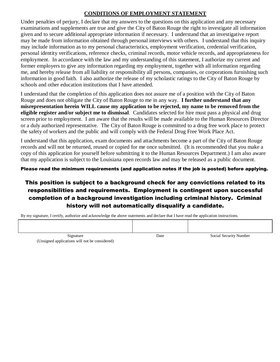#### **CONDITIONS OF EMPLOYMENT STATEMENT**

Under penalties of perjury, I declare that my answers to the questions on this application and any necessary examinations and supplements are true and give the City of Baton Rouge the right to investigate all information given and to secure additional appropriate information if necessary. I understand that an investigative report may be made from information obtained through personal interviews with others. I understand that this inquiry may include information as to my personal characteristics, employment verification, credential verification, personal identity verifications, reference checks, criminal records, motor vehicle records, and appropriateness for employment. In accordance with the law and my understanding of this statement, I authorize my current and former employers to give any information regarding my employment, together with all information regarding me, and hereby release from all liability or responsibility all persons, companies, or corporations furnishing such information in good faith. I also authorize the release of my scholastic ratings to the City of Baton Rouge by schools and other education institutions that I have attended.

I understand that the completion of this application does not assure me of a position with the City of Baton Rouge and does not obligate the City of Baton Rouge to me in any way. **I further understand that any misrepresentation herein WILL cause my application to be rejected, my name to be removed from the eligible register and/or subject me to dismissal**. Candidates selected for hire must pass a physical and drug screen prior to employment. I am aware that the results will be made available to the Human Resources Director or a duly authorized representative. The City of Baton Rouge is committed to a drug free work place to protect the safety of workers and the public and will comply with the Federal Drug Free Work Place Act.

I understand that this application, exam documents and attachments become a part of the City of Baton Rouge records and will not be returned, reused or copied for me once submitted. (It is recommended that you make a copy of this application for yourself before submitting it to the Human Resources Department.) I am also aware that my application is subject to the Louisiana open records law and may be released as a public document.

Please read the minimum requirements (and application notes if the job is posted) before applying.

## This position is subject to a background check for any convictions related to its responsibilities and requirements. Employment is contingent upon successful completion of a background investigation including criminal history. Criminal history will not automatically disqualify a candidate.

By my signature, I certify, authorize and acknowledge the above statements and declare that I have read the application instructions.

Signature **Social Security Number** Date Social Security Number (Unsigned applications will not be considered)